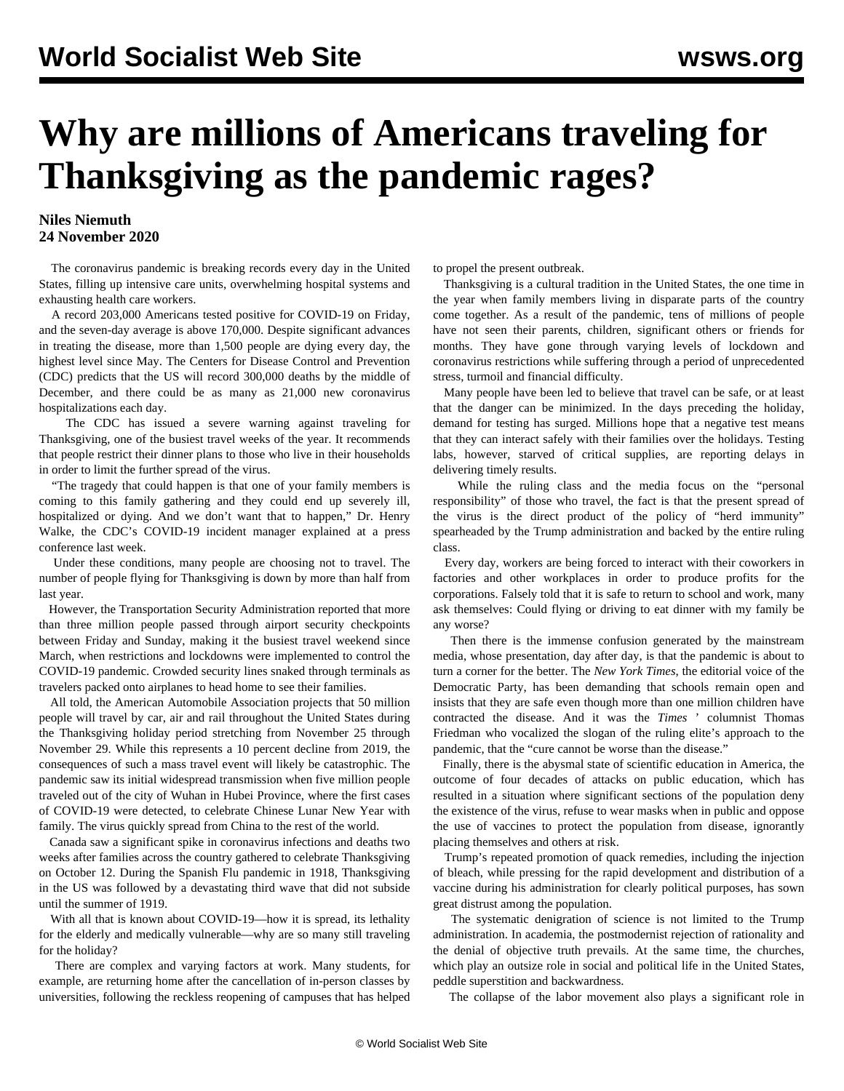## **Why are millions of Americans traveling for Thanksgiving as the pandemic rages?**

## **Niles Niemuth 24 November 2020**

 The coronavirus pandemic is breaking records every day in the United States, filling up intensive care units, overwhelming hospital systems and exhausting health care workers.

 A record 203,000 Americans tested positive for COVID-19 on Friday, and the seven-day average is above 170,000. Despite significant advances in treating the disease, more than 1,500 people are dying every day, the highest level since May. The Centers for Disease Control and Prevention (CDC) predicts that the US will record 300,000 deaths by the middle of December, and there could be as many as 21,000 new coronavirus hospitalizations each day.

 The CDC has issued a severe warning against traveling for Thanksgiving, one of the busiest travel weeks of the year. It recommends that people restrict their dinner plans to those who live in their households in order to limit the further spread of the virus.

 "The tragedy that could happen is that one of your family members is coming to this family gathering and they could end up severely ill, hospitalized or dying. And we don't want that to happen," Dr. Henry Walke, the CDC's COVID-19 incident manager explained at a press conference last week.

 Under these conditions, many people are choosing not to travel. The number of people flying for Thanksgiving is down by more than half from last year.

 However, the Transportation Security Administration reported that more than three million people passed through airport security checkpoints between Friday and Sunday, making it the busiest travel weekend since March, when restrictions and lockdowns were implemented to control the COVID-19 pandemic. Crowded security lines snaked through terminals as travelers packed onto airplanes to head home to see their families.

 All told, the American Automobile Association projects that 50 million people will travel by car, air and rail throughout the United States during the Thanksgiving holiday period stretching from November 25 through November 29. While this represents a 10 percent decline from 2019, the consequences of such a mass travel event will likely be catastrophic. The pandemic saw its initial widespread transmission when five million people traveled out of the city of Wuhan in Hubei Province, where the first cases of COVID-19 were detected, to celebrate Chinese Lunar New Year with family. The virus quickly spread from China to the rest of the world.

 Canada saw a significant spike in coronavirus infections and deaths two weeks after families across the country gathered to celebrate Thanksgiving on October 12. During the Spanish Flu pandemic in 1918, Thanksgiving in the US was followed by a devastating third wave that did not subside until the summer of 1919.

 With all that is known about COVID-19—how it is spread, its lethality for the elderly and medically vulnerable—why are so many still traveling for the holiday?

 There are complex and varying factors at work. Many students, for example, are returning home after the cancellation of in-person classes by universities, following the reckless reopening of campuses that has helped to propel the present outbreak.

 Thanksgiving is a cultural tradition in the United States, the one time in the year when family members living in disparate parts of the country come together. As a result of the pandemic, tens of millions of people have not seen their parents, children, significant others or friends for months. They have gone through varying levels of lockdown and coronavirus restrictions while suffering through a period of unprecedented stress, turmoil and financial difficulty.

 Many people have been led to believe that travel can be safe, or at least that the danger can be minimized. In the days preceding the holiday, demand for testing has surged. Millions hope that a negative test means that they can interact safely with their families over the holidays. Testing labs, however, starved of critical supplies, are reporting delays in delivering timely results.

 While the ruling class and the media focus on the "personal responsibility" of those who travel, the fact is that the present spread of the virus is the direct product of the policy of "herd immunity" spearheaded by the Trump administration and backed by the entire ruling class.

 Every day, workers are being forced to interact with their coworkers in factories and other workplaces in order to produce profits for the corporations. Falsely told that it is safe to return to school and work, many ask themselves: Could flying or driving to eat dinner with my family be any worse?

 Then there is the immense confusion generated by the mainstream media, whose presentation, day after day, is that the pandemic is about to turn a corner for the better. The *New York Times*, the editorial voice of the Democratic Party, has been demanding that schools remain open and insists that they are safe even though more than one million children have contracted the disease. And it was the *Times* ' columnist Thomas Friedman who vocalized the slogan of the ruling elite's approach to the pandemic, that the "cure cannot be worse than the disease."

 Finally, there is the abysmal state of scientific education in America, the outcome of four decades of attacks on public education, which has resulted in a situation where significant sections of the population deny the existence of the virus, refuse to wear masks when in public and oppose the use of vaccines to protect the population from disease, ignorantly placing themselves and others at risk.

 Trump's repeated promotion of quack remedies, including the injection of bleach, while pressing for the rapid development and distribution of a vaccine during his administration for clearly political purposes, has sown great distrust among the population.

 The systematic denigration of science is not limited to the Trump administration. In academia, the postmodernist rejection of rationality and the denial of objective truth prevails. At the same time, the churches, which play an outsize role in social and political life in the United States, peddle superstition and backwardness.

The collapse of the labor movement also plays a significant role in